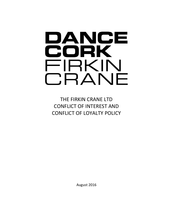## DANCE CORK FIRKIN CRANE

THE FIRKIN CRANE LTD CONFLICT OF INTEREST AND CONFLICT OF LOYALTY POLICY

August 2016